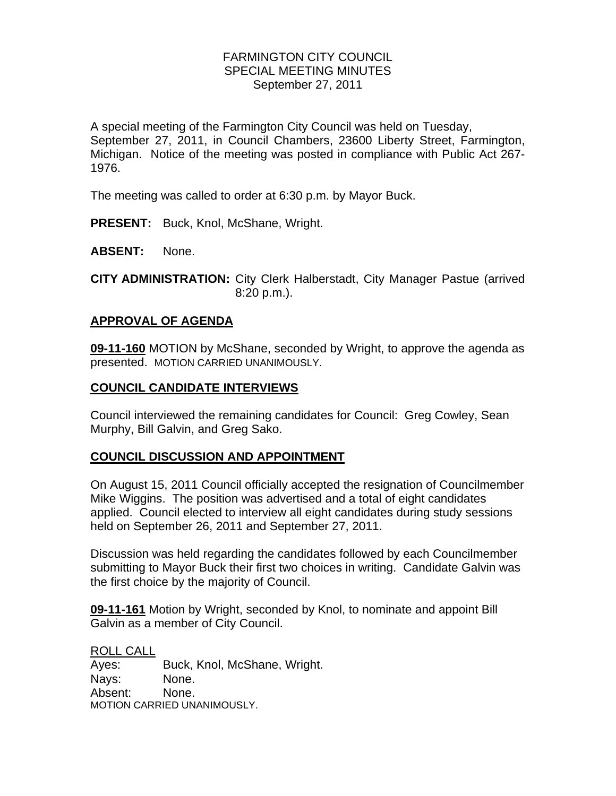# FARMINGTON CITY COUNCIL SPECIAL MEETING MINUTES September 27, 2011

A special meeting of the Farmington City Council was held on Tuesday, September 27, 2011, in Council Chambers, 23600 Liberty Street, Farmington, Michigan. Notice of the meeting was posted in compliance with Public Act 267- 1976.

The meeting was called to order at 6:30 p.m. by Mayor Buck.

**PRESENT:** Buck, Knol, McShane, Wright.

**ABSENT:** None.

**CITY ADMINISTRATION:** City Clerk Halberstadt, City Manager Pastue (arrived 8:20 p.m.).

#### **APPROVAL OF AGENDA**

**09-11-160** MOTION by McShane, seconded by Wright, to approve the agenda as presented. MOTION CARRIED UNANIMOUSLY.

#### **COUNCIL CANDIDATE INTERVIEWS**

Council interviewed the remaining candidates for Council: Greg Cowley, Sean Murphy, Bill Galvin, and Greg Sako.

# **COUNCIL DISCUSSION AND APPOINTMENT**

On August 15, 2011 Council officially accepted the resignation of Councilmember Mike Wiggins. The position was advertised and a total of eight candidates applied. Council elected to interview all eight candidates during study sessions held on September 26, 2011 and September 27, 2011.

Discussion was held regarding the candidates followed by each Councilmember submitting to Mayor Buck their first two choices in writing. Candidate Galvin was the first choice by the majority of Council.

**09-11-161** Motion by Wright, seconded by Knol, to nominate and appoint Bill Galvin as a member of City Council.

#### ROLL CALL

Ayes: Buck, Knol, McShane, Wright. Nays: None. Absent: None. MOTION CARRIED UNANIMOUSLY.